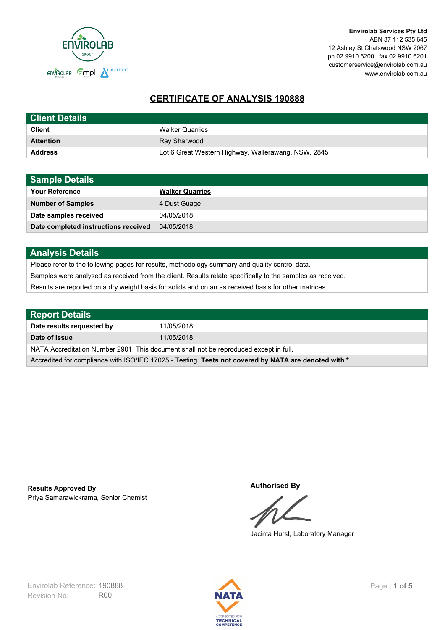

# **CERTIFICATE OF ANALYSIS 190888**

| <b>Client Details</b> |                                                     |
|-----------------------|-----------------------------------------------------|
| <b>Client</b>         | <b>Walker Quarries</b>                              |
| <b>Attention</b>      | Ray Sharwood                                        |
| <b>Address</b>        | Lot 6 Great Western Highway, Wallerawang, NSW, 2845 |

| <b>Sample Details</b>                |                        |
|--------------------------------------|------------------------|
| <b>Your Reference</b>                | <b>Walker Quarries</b> |
| <b>Number of Samples</b>             | 4 Dust Guage           |
| Date samples received                | 04/05/2018             |
| Date completed instructions received | 04/05/2018             |

# **Analysis Details**

Please refer to the following pages for results, methodology summary and quality control data.

Samples were analysed as received from the client. Results relate specifically to the samples as received.

Results are reported on a dry weight basis for solids and on an as received basis for other matrices.

| <b>Report Details</b>                                                                                |            |  |
|------------------------------------------------------------------------------------------------------|------------|--|
| Date results requested by                                                                            | 11/05/2018 |  |
| Date of Issue                                                                                        | 11/05/2018 |  |
| NATA Accreditation Number 2901. This document shall not be reproduced except in full.                |            |  |
| Accredited for compliance with ISO/IEC 17025 - Testing. Tests not covered by NATA are denoted with * |            |  |

Priya Samarawickrama, Senior Chemist **Results Approved By**

**Authorised By**

Jacinta Hurst, Laboratory Manager

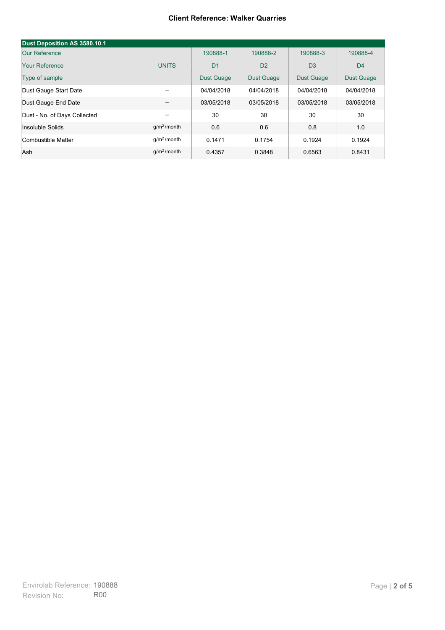#### **Client Reference: Walker Quarries**

| Dust Deposition AS 3580.10.1 |                         |                   |                   |                   |                   |
|------------------------------|-------------------------|-------------------|-------------------|-------------------|-------------------|
| Our Reference                |                         | 190888-1          | 190888-2          | 190888-3          | 190888-4          |
| Your Reference               | <b>UNITS</b>            | D <sub>1</sub>    | D <sub>2</sub>    | D <sub>3</sub>    | D <sub>4</sub>    |
| Type of sample               |                         | <b>Dust Guage</b> | <b>Dust Guage</b> | <b>Dust Guage</b> | <b>Dust Guage</b> |
| Dust Gauge Start Date        | $- -$                   | 04/04/2018        | 04/04/2018        | 04/04/2018        | 04/04/2018        |
| Dust Gauge End Date          | --                      | 03/05/2018        | 03/05/2018        | 03/05/2018        | 03/05/2018        |
| Dust - No. of Days Collected | --                      | 30                | 30                | 30                | 30                |
| Insoluble Solids             | $q/m2$ /month           | 0.6               | 0.6               | 0.8               | 1.0               |
| Combustible Matter           | q/m <sup>2</sup> /month | 0.1471            | 0.1754            | 0.1924            | 0.1924            |
| Ash                          | $q/m2$ /month           | 0.4357            | 0.3848            | 0.6563            | 0.8431            |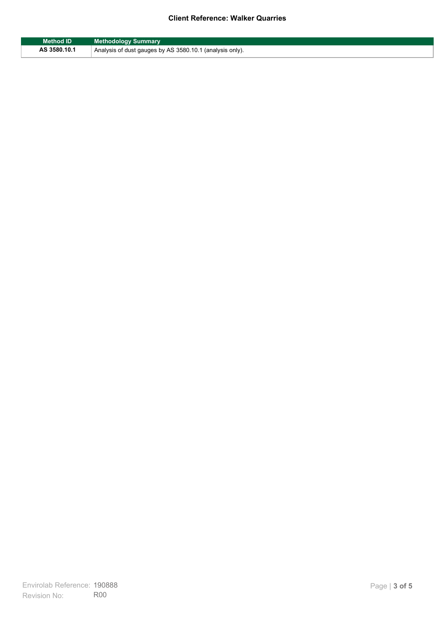## **Client Reference: Walker Quarries**

| Method ID    | <b>Methodology Summary</b>                               |
|--------------|----------------------------------------------------------|
| AS 3580.10.1 | Analysis of dust gauges by AS 3580.10.1 (analysis only). |

F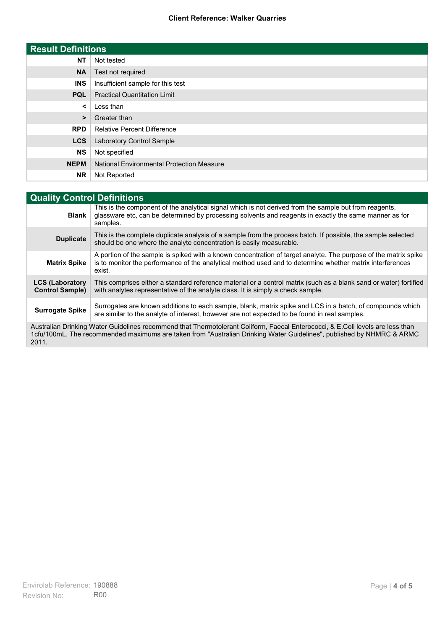### **Client Reference: Walker Quarries**

| <b>Result Definitions</b> |                                                  |
|---------------------------|--------------------------------------------------|
| <b>NT</b>                 | Not tested                                       |
| <b>NA</b>                 | Test not required                                |
| <b>INS</b>                | Insufficient sample for this test                |
| <b>PQL</b>                | <b>Practical Quantitation Limit</b>              |
| $\prec$                   | Less than                                        |
| $\geq$                    | Greater than                                     |
| <b>RPD</b>                | <b>Relative Percent Difference</b>               |
| <b>LCS</b>                | Laboratory Control Sample                        |
| <b>NS</b>                 | Not specified                                    |
| <b>NEPM</b>               | <b>National Environmental Protection Measure</b> |
| <b>NR</b>                 | Not Reported                                     |

| <b>Quality Control Definitions</b>                                                                                                                                                                                                                      |                                                                                                                                                                                                                                        |  |
|---------------------------------------------------------------------------------------------------------------------------------------------------------------------------------------------------------------------------------------------------------|----------------------------------------------------------------------------------------------------------------------------------------------------------------------------------------------------------------------------------------|--|
| <b>Blank</b>                                                                                                                                                                                                                                            | This is the component of the analytical signal which is not derived from the sample but from reagents.<br>glassware etc, can be determined by processing solvents and reagents in exactly the same manner as for<br>samples.           |  |
| <b>Duplicate</b>                                                                                                                                                                                                                                        | This is the complete duplicate analysis of a sample from the process batch. If possible, the sample selected<br>should be one where the analyte concentration is easily measurable.                                                    |  |
| <b>Matrix Spike</b>                                                                                                                                                                                                                                     | A portion of the sample is spiked with a known concentration of target analyte. The purpose of the matrix spike<br>is to monitor the performance of the analytical method used and to determine whether matrix interferences<br>exist. |  |
| <b>LCS (Laboratory</b><br><b>Control Sample)</b>                                                                                                                                                                                                        | This comprises either a standard reference material or a control matrix (such as a blank sand or water) fortified<br>with analytes representative of the analyte class. It is simply a check sample.                                   |  |
| <b>Surrogate Spike</b>                                                                                                                                                                                                                                  | Surrogates are known additions to each sample, blank, matrix spike and LCS in a batch, of compounds which<br>are similar to the analyte of interest, however are not expected to be found in real samples.                             |  |
| Australian Drinking Water Guidelines recommend that Thermotolerant Coliform, Faecal Enterococci, & E.Coli levels are less than<br>1cfu/100mL. The recommended maximums are taken from "Australian Drinking Water Guidelines", published by NHMRC & ARMC |                                                                                                                                                                                                                                        |  |

2011.